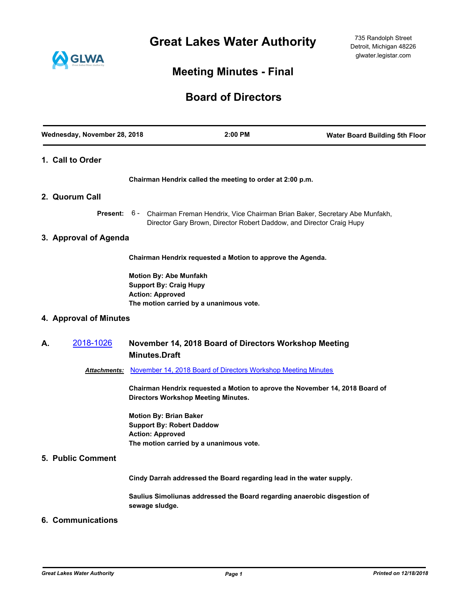**Great Lakes Water Authority**



# **Meeting Minutes - Final**

## **Board of Directors**

| Wednesday, November 28, 2018 |                                                                                              | 2:00 PM                                                                                                                                                         | <b>Water Board Building 5th Floor</b> |
|------------------------------|----------------------------------------------------------------------------------------------|-----------------------------------------------------------------------------------------------------------------------------------------------------------------|---------------------------------------|
| 1. Call to Order             |                                                                                              |                                                                                                                                                                 |                                       |
|                              |                                                                                              | Chairman Hendrix called the meeting to order at 2:00 p.m.                                                                                                       |                                       |
| 2. Quorum Call               |                                                                                              |                                                                                                                                                                 |                                       |
|                              |                                                                                              | Present: 6 - Chairman Freman Hendrix, Vice Chairman Brian Baker, Secretary Abe Munfakh,<br>Director Gary Brown, Director Robert Daddow, and Director Craig Hupy |                                       |
| 3. Approval of Agenda        |                                                                                              |                                                                                                                                                                 |                                       |
|                              |                                                                                              | Chairman Hendrix requested a Motion to approve the Agenda.                                                                                                      |                                       |
|                              | Motion By: Abe Munfakh<br><b>Support By: Craig Hupy</b><br><b>Action: Approved</b>           | The motion carried by a unanimous vote.                                                                                                                         |                                       |
| 4. Approval of Minutes       |                                                                                              |                                                                                                                                                                 |                                       |
| 2018-1026<br>А.              | <b>Minutes.Draft</b>                                                                         | November 14, 2018 Board of Directors Workshop Meeting                                                                                                           |                                       |
| Attachments:                 |                                                                                              | November 14, 2018 Board of Directors Workshop Meeting Minutes                                                                                                   |                                       |
|                              |                                                                                              | Chairman Hendrix requested a Motion to aprove the November 14, 2018 Board of<br><b>Directors Workshop Meeting Minutes.</b>                                      |                                       |
|                              | <b>Motion By: Brian Baker</b><br><b>Support By: Robert Daddow</b><br><b>Action: Approved</b> | The motion carried by a unanimous vote.                                                                                                                         |                                       |
| <b>5. Public Comment</b>     |                                                                                              |                                                                                                                                                                 |                                       |
|                              |                                                                                              | Cindy Darrah addressed the Board regarding lead in the water supply.                                                                                            |                                       |
|                              | sewage sludge.                                                                               | Saulius Simoliunas addressed the Board regarding anaerobic disgestion of                                                                                        |                                       |
| 6. Communications            |                                                                                              |                                                                                                                                                                 |                                       |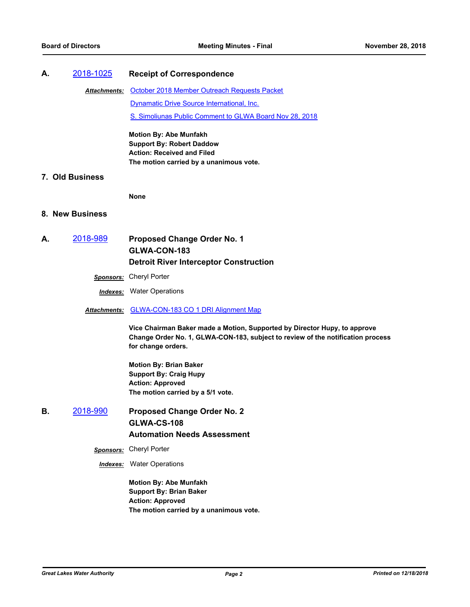#### **A.** [2018-1025](http://glwater.legistar.com/gateway.aspx?m=l&id=/matter.aspx?key=3313) **Receipt of Correspondence**

Attachments: [October 2018 Member Outreach Requests Packet](http://glwater.legistar.com/gateway.aspx?M=F&ID=4716d086-e593-4868-86c9-6ac4f143ea3c.pdf) [Dynamatic Drive Source International, Inc.](http://glwater.legistar.com/gateway.aspx?M=F&ID=1790a50e-3b1c-474c-9794-37d9ba2693f7.pdf) [S. Simoliunas Public Comment to GLWA Board Nov 28, 2018](http://glwater.legistar.com/gateway.aspx?M=F&ID=43b3586d-96d8-4e32-a1e7-4a845339c11b.pdf)

> **Motion By: Abe Munfakh Support By: Robert Daddow Action: Received and Filed The motion carried by a unanimous vote.**

## **7. Old Business**

**None**

#### **8. New Business**

- **A.** [2018-989](http://glwater.legistar.com/gateway.aspx?m=l&id=/matter.aspx?key=3277) **Proposed Change Order No. 1 GLWA-CON-183 Detroit River Interceptor Construction**
	- *Sponsors:* Cheryl Porter

*Indexes:* Water Operations

*Attachments:* [GLWA-CON-183 CO 1 DRI Alignment Map](http://glwater.legistar.com/gateway.aspx?M=F&ID=5b8c56f4-0506-44e9-8d46-fc7730f391a2.pdf)

**Vice Chairman Baker made a Motion, Supported by Director Hupy, to approve Change Order No. 1, GLWA-CON-183, subject to review of the notification process for change orders.**

**Motion By: Brian Baker Support By: Craig Hupy Action: Approved The motion carried by a 5/1 vote.**

- **B.** [2018-990](http://glwater.legistar.com/gateway.aspx?m=l&id=/matter.aspx?key=3278) **Proposed Change Order No. 2 GLWA-CS-108 Automation Needs Assessment**
	- *Sponsors:* Cheryl Porter
	- *Indexes:* Water Operations

**Motion By: Abe Munfakh Support By: Brian Baker Action: Approved The motion carried by a unanimous vote.**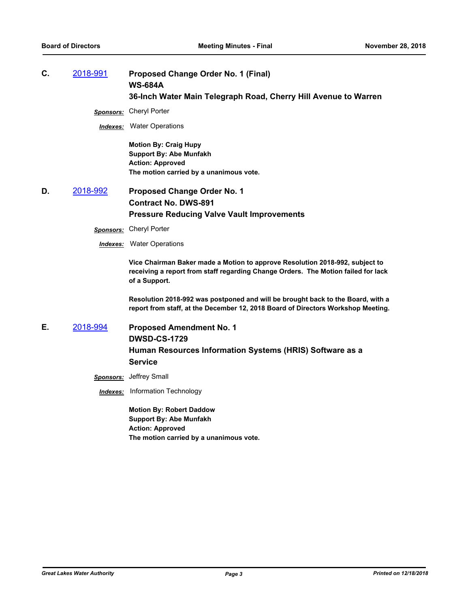**C.** [2018-991](http://glwater.legistar.com/gateway.aspx?m=l&id=/matter.aspx?key=3279) **Proposed Change Order No. 1 (Final) WS-684A 36-Inch Water Main Telegraph Road, Cherry Hill Avenue to Warren**

*Sponsors:* Cheryl Porter

*Indexes:* Water Operations

**Motion By: Craig Hupy Support By: Abe Munfakh Action: Approved The motion carried by a unanimous vote.**

- **D.** [2018-992](http://glwater.legistar.com/gateway.aspx?m=l&id=/matter.aspx?key=3280) **Proposed Change Order No. 1 Contract No. DWS-891 Pressure Reducing Valve Vault Improvements**
	- *Sponsors:* Cheryl Porter
	- *Indexes:* Water Operations

**Vice Chairman Baker made a Motion to approve Resolution 2018-992, subject to receiving a report from staff regarding Change Orders. The Motion failed for lack of a Support.**

**Resolution 2018-992 was postponed and will be brought back to the Board, with a report from staff, at the December 12, 2018 Board of Directors Workshop Meeting.**

- **E.** [2018-994](http://glwater.legistar.com/gateway.aspx?m=l&id=/matter.aspx?key=3282) **Proposed Amendment No. 1 DWSD-CS-1729 Human Resources Information Systems (HRIS) Software as a Service**
	- *Sponsors:* Jeffrey Small
	- *Indexes:* Information Technology

**Motion By: Robert Daddow Support By: Abe Munfakh Action: Approved The motion carried by a unanimous vote.**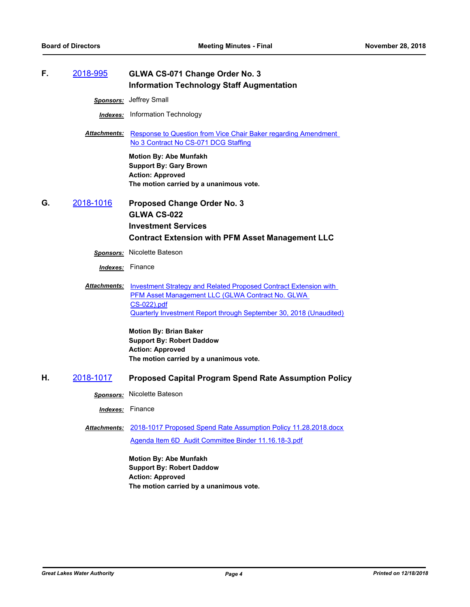| F. | <u>2018-995</u> | GLWA CS-071 Change Order No. 3<br><b>Information Technology Staff Augmentation</b>                                                                                                                                                                                                                        |
|----|-----------------|-----------------------------------------------------------------------------------------------------------------------------------------------------------------------------------------------------------------------------------------------------------------------------------------------------------|
|    |                 | Sponsors: Jeffrey Small                                                                                                                                                                                                                                                                                   |
|    |                 | <b>Indexes:</b> Information Technology                                                                                                                                                                                                                                                                    |
|    |                 | <b>Attachments:</b> Response to Question from Vice Chair Baker regarding Amendment<br>No 3 Contract No CS-071 DCG Staffing                                                                                                                                                                                |
|    |                 | <b>Motion By: Abe Munfakh</b><br><b>Support By: Gary Brown</b><br><b>Action: Approved</b><br>The motion carried by a unanimous vote.                                                                                                                                                                      |
| G. | 2018-1016       | <b>Proposed Change Order No. 3</b><br><b>GLWA CS-022</b>                                                                                                                                                                                                                                                  |
|    |                 | <b>Investment Services</b><br><b>Contract Extension with PFM Asset Management LLC</b>                                                                                                                                                                                                                     |
|    |                 | <b>Sponsors:</b> Nicolette Bateson                                                                                                                                                                                                                                                                        |
|    |                 | <b>Indexes:</b> Finance                                                                                                                                                                                                                                                                                   |
|    |                 | <b>Attachments:</b> Investment Strategy and Related Proposed Contract Extension with<br>PFM Asset Management LLC (GLWA Contract No. GLWA<br>CS-022).pdf<br><b>Quarterly Investment Report through September 30, 2018 (Unaudited)</b><br><b>Motion By: Brian Baker</b><br><b>Support By: Robert Daddow</b> |
|    |                 | <b>Action: Approved</b>                                                                                                                                                                                                                                                                                   |
|    |                 | The motion carried by a unanimous vote.                                                                                                                                                                                                                                                                   |
| Η. | 2018-1017       | <b>Proposed Capital Program Spend Rate Assumption Policy</b>                                                                                                                                                                                                                                              |
|    |                 | Sponsors: Nicolette Bateson                                                                                                                                                                                                                                                                               |
|    |                 | <b>Indexes:</b> Finance                                                                                                                                                                                                                                                                                   |
|    | Attachments:    | 2018-1017 Proposed Spend Rate Assumption Policy 11.28.2018.docx                                                                                                                                                                                                                                           |
|    |                 | Agenda Item 6D Audit Committee Binder 11.16.18-3.pdf                                                                                                                                                                                                                                                      |
|    |                 | <b>Motion By: Abe Munfakh</b><br><b>Support By: Robert Daddow</b><br><b>Action: Approved</b><br>The motion carried by a unanimous vote.                                                                                                                                                                   |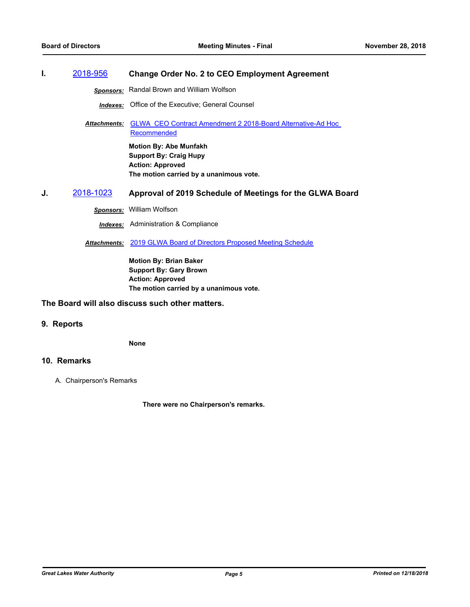## **I.** [2018-956](http://glwater.legistar.com/gateway.aspx?m=l&id=/matter.aspx?key=3244) **Change Order No. 2 to CEO Employment Agreement**

*Sponsors:* Randal Brown and William Wolfson

*Indexes:* Office of the Executive; General Counsel

Attachments: GLWA CEO Contract Amendment 2 2018-Board Alternative-Ad Hoc Recommended

> **Motion By: Abe Munfakh Support By: Craig Hupy Action: Approved The motion carried by a unanimous vote.**

**J.** [2018-1023](http://glwater.legistar.com/gateway.aspx?m=l&id=/matter.aspx?key=3311) **Approval of 2019 Schedule of Meetings for the GLWA Board**

*Sponsors:* William Wolfson

*Indexes:* Administration & Compliance

*Attachments:* [2019 GLWA Board of Directors Proposed Meeting Schedule](http://glwater.legistar.com/gateway.aspx?M=F&ID=d8bc5707-f9fa-46b1-ae1a-f1fbd36b0336.docx)

**Motion By: Brian Baker Support By: Gary Brown Action: Approved The motion carried by a unanimous vote.**

## **The Board will also discuss such other matters.**

## **9. Reports**

**None**

## **10. Remarks**

A. Chairperson's Remarks

**There were no Chairperson's remarks.**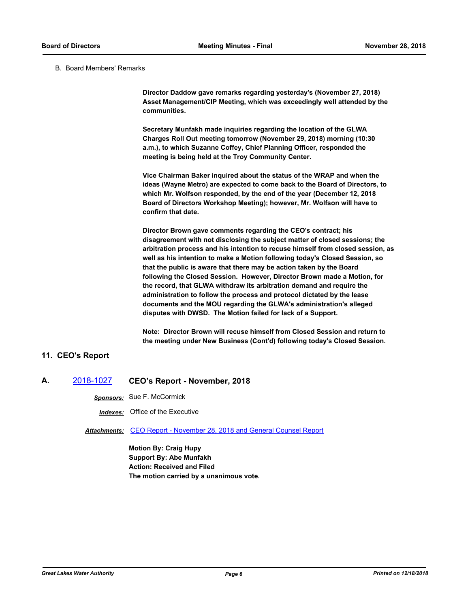B. Board Members' Remarks

**Director Daddow gave remarks regarding yesterday's (November 27, 2018) Asset Management/CIP Meeting, which was exceedingly well attended by the communities.**

**Secretary Munfakh made inquiries regarding the location of the GLWA Charges Roll Out meeting tomorrow (November 29, 2018) morning (10:30 a.m.), to which Suzanne Coffey, Chief Planning Officer, responded the meeting is being held at the Troy Community Center.**

**Vice Chairman Baker inquired about the status of the WRAP and when the ideas (Wayne Metro) are expected to come back to the Board of Directors, to which Mr. Wolfson responded, by the end of the year (December 12, 2018 Board of Directors Workshop Meeting); however, Mr. Wolfson will have to confirm that date.**

**Director Brown gave comments regarding the CEO's contract; his disagreement with not disclosing the subject matter of closed sessions; the arbitration process and his intention to recuse himself from closed session, as well as his intention to make a Motion following today's Closed Session, so that the public is aware that there may be action taken by the Board following the Closed Session. However, Director Brown made a Motion, for the record, that GLWA withdraw its arbitration demand and require the administration to follow the process and protocol dictated by the lease documents and the MOU regarding the GLWA's administration's alleged disputes with DWSD. The Motion failed for lack of a Support.**

**Note: Director Brown will recuse himself from Closed Session and return to the meeting under New Business (Cont'd) following today's Closed Session.**

## **11. CEO's Report**

**A.** [2018-1027](http://glwater.legistar.com/gateway.aspx?m=l&id=/matter.aspx?key=3315) **CEO's Report - November, 2018**

*Sponsors:* Sue F. McCormick

*Indexes:* Office of the Executive

*Attachments:* [CEO Report - November 28, 2018 and General Counsel Report](http://glwater.legistar.com/gateway.aspx?M=F&ID=cfa8ebd2-95ec-4819-a3c2-f5df4b9d1059.pdf)

**Motion By: Craig Hupy Support By: Abe Munfakh Action: Received and Filed The motion carried by a unanimous vote.**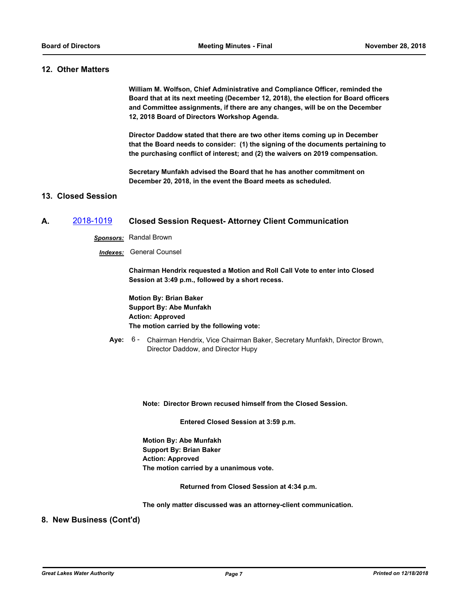## **12. Other Matters**

**William M. Wolfson, Chief Administrative and Compliance Officer, reminded the Board that at its next meeting (December 12, 2018), the election for Board officers and Committee assignments, if there are any changes, will be on the December 12, 2018 Board of Directors Workshop Agenda.**

**Director Daddow stated that there are two other items coming up in December that the Board needs to consider: (1) the signing of the documents pertaining to the purchasing conflict of interest; and (2) the waivers on 2019 compensation.**

**Secretary Munfakh advised the Board that he has another commitment on December 20, 2018, in the event the Board meets as scheduled.**

## **13. Closed Session**

## **A.** [2018-1019](http://glwater.legistar.com/gateway.aspx?m=l&id=/matter.aspx?key=3307) **Closed Session Request- Attorney Client Communication**

*Sponsors:* Randal Brown

*Indexes:* General Counsel

**Chairman Hendrix requested a Motion and Roll Call Vote to enter into Closed Session at 3:49 p.m., followed by a short recess.**

**Motion By: Brian Baker Support By: Abe Munfakh Action: Approved The motion carried by the following vote:**

**Aye:** Chairman Hendrix, Vice Chairman Baker, Secretary Munfakh, Director Brown, Director Daddow, and Director Hupy Aye: 6 -

**Note: Director Brown recused himself from the Closed Session.**

 **Entered Closed Session at 3:59 p.m.**

**Motion By: Abe Munfakh Support By: Brian Baker Action: Approved The motion carried by a unanimous vote.**

 **Returned from Closed Session at 4:34 p.m.**

**The only matter discussed was an attorney-client communication.**

#### **8. New Business (Cont'd)**